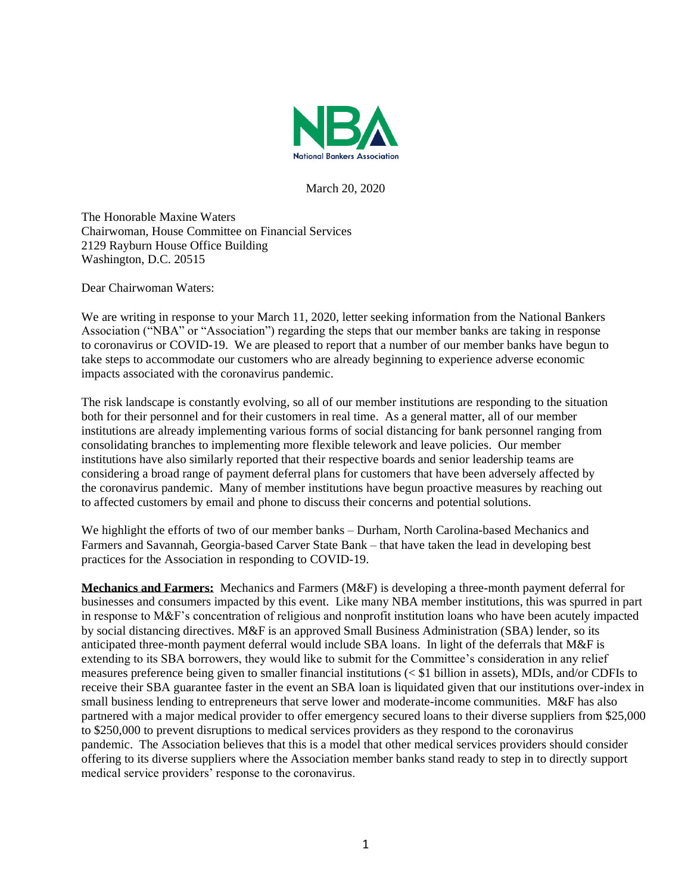

March 20, 2020

The Honorable Maxine Waters Chairwoman, House Committee on Financial Services 2129 Rayburn House Office Building Washington, D.C. 20515

Dear Chairwoman Waters:

We are writing in response to your March 11, 2020, letter seeking information from the National Bankers Association ("NBA" or "Association") regarding the steps that our member banks are taking in response to coronavirus or COVID-19. We are pleased to report that a number of our member banks have begun to take steps to accommodate our customers who are already beginning to experience adverse economic impacts associated with the coronavirus pandemic.

The risk landscape is constantly evolving, so all of our member institutions are responding to the situation both for their personnel and for their customers in real time. As a general matter, all of our member institutions are already implementing various forms of social distancing for bank personnel ranging from consolidating branches to implementing more flexible telework and leave policies. Our member institutions have also similarly reported that their respective boards and senior leadership teams are considering a broad range of payment deferral plans for customers that have been adversely affected by the coronavirus pandemic. Many of member institutions have begun proactive measures by reaching out to affected customers by email and phone to discuss their concerns and potential solutions.

We highlight the efforts of two of our member banks – Durham, North Carolina-based Mechanics and Farmers and Savannah, Georgia-based Carver State Bank – that have taken the lead in developing best practices for the Association in responding to COVID-19.

**Mechanics and Farmers:** Mechanics and Farmers (M&F) is developing a three-month payment deferral for businesses and consumers impacted by this event. Like many NBA member institutions, this was spurred in part in response to M&F's concentration of religious and nonprofit institution loans who have been acutely impacted by social distancing directives. M&F is an approved Small Business Administration (SBA) lender, so its anticipated three-month payment deferral would include SBA loans. In light of the deferrals that M&F is extending to its SBA borrowers, they would like to submit for the Committee's consideration in any relief measures preference being given to smaller financial institutions (< \$1 billion in assets), MDIs, and/or CDFIs to receive their SBA guarantee faster in the event an SBA loan is liquidated given that our institutions over-index in small business lending to entrepreneurs that serve lower and moderate-income communities. M&F has also partnered with a major medical provider to offer emergency secured loans to their diverse suppliers from \$25,000 to \$250,000 to prevent disruptions to medical services providers as they respond to the coronavirus pandemic. The Association believes that this is a model that other medical services providers should consider offering to its diverse suppliers where the Association member banks stand ready to step in to directly support medical service providers' response to the coronavirus.